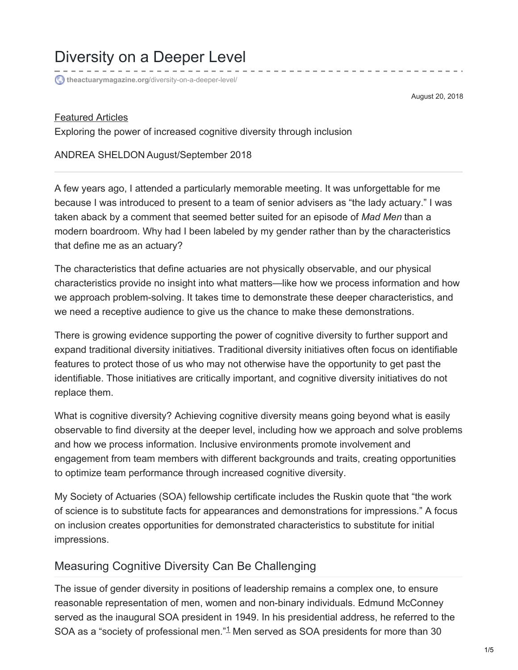# Diversity on a Deeper Level

**theactuarymagazine.org**[/diversity-on-a-deeper-level/](https://theactuarymagazine.org/diversity-on-a-deeper-level/)

August 20, 2018

### [Featured](https://theactuarymagazine.org/category/featured-articles/) Articles

Exploring the power of increased cognitive diversity through inclusion

### ANDREA SHELDON August/September 2018

A few years ago, I attended a particularly memorable meeting. It was unforgettable for me because I was introduced to present to a team of senior advisers as "the lady actuary." I was taken aback by a comment that seemed better suited for an episode of *Mad Men* than a modern boardroom. Why had I been labeled by my gender rather than by the characteristics that define me as an actuary?

The characteristics that define actuaries are not physically observable, and our physical characteristics provide no insight into what matters—like how we process information and how we approach problem-solving. It takes time to demonstrate these deeper characteristics, and we need a receptive audience to give us the chance to make these demonstrations.

There is growing evidence supporting the power of cognitive diversity to further support and expand traditional diversity initiatives. Traditional diversity initiatives often focus on identifiable features to protect those of us who may not otherwise have the opportunity to get past the identifiable. Those initiatives are critically important, and cognitive diversity initiatives do not replace them.

What is cognitive diversity? Achieving cognitive diversity means going beyond what is easily observable to find diversity at the deeper level, including how we approach and solve problems and how we process information. Inclusive environments promote involvement and engagement from team members with different backgrounds and traits, creating opportunities to optimize team performance through increased cognitive diversity.

My Society of Actuaries (SOA) fellowship certificate includes the Ruskin quote that "the work of science is to substitute facts for appearances and demonstrations for impressions." A focus on inclusion creates opportunities for demonstrated characteristics to substitute for initial impressions.

## Measuring Cognitive Diversity Can Be Challenging

The issue of gender diversity in positions of leadership remains a complex one, to ensure reasonable representation of men, women and non-binary individuals. Edmund McConney served as the inaugural SOA president in 1949. In his presidential address, he referred to the SOA as a "society of professional men." $1$  Men served as SOA presidents for more than 30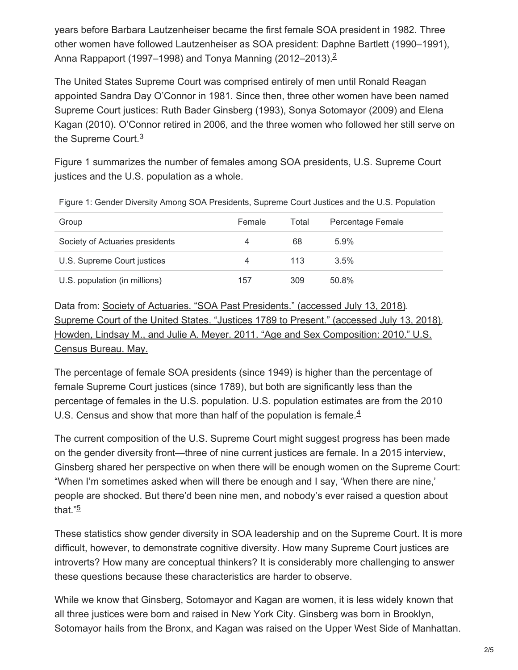years before Barbara Lautzenheiser became the first female SOA president in 1982. Three other women have followed Lautzenheiser as SOA president: Daphne Bartlett (1990–1991), Anna Rappaport (1997–1998) and Tonya Manning ([2](https://theactuarymagazine.org/diversity-on-a-deeper-level/#en-4785-2)012–2013).<sup>2</sup>

The United States Supreme Court was comprised entirely of men until Ronald Reagan appointed Sandra Day O'Connor in 1981. Since then, three other women have been named Supreme Court justices: Ruth Bader Ginsberg (1993), Sonya Sotomayor (2009) and Elena Kagan (2010). O'Connor retired in 2006, and the three women who followed her still serve on the Supreme Court.<sup>[3](https://theactuarymagazine.org/diversity-on-a-deeper-level/#en-4785-3)</sup>

Figure 1 summarizes the number of females among SOA presidents, U.S. Supreme Court justices and the U.S. population as a whole.

| Group                           | Female | Total | Percentage Female |
|---------------------------------|--------|-------|-------------------|
| Society of Actuaries presidents | 4      | 68    | $5.9\%$           |
| U.S. Supreme Court justices     | 4      | 113   | 3.5%              |
| U.S. population (in millions)   | 157    | 309   | $50.8\%$          |

Figure 1: Gender Diversity Among SOA Presidents, Supreme Court Justices and the U.S. Population

Data from: Society of Actuaries. "SOA Past [Presidents."](https://www.soa.org/about/governance/board-and-leadership/past-presidents/) (accessed July 13, 2018). Supreme Court of the United States. "Justices 1789 to Present." [\(accessed](https://www.supremecourt.gov/about/members_text.aspx) July 13, 2018). Howden, Lindsay M., and Julie A. Meyer. 2011. "Age and Sex [Composition:](https://www.census.gov/prod/cen2010/briefs/c2010br-03.pdf) 2010." U.S. Census Bureau. May.

The percentage of female SOA presidents (since 1949) is higher than the percentage of female Supreme Court justices (since 1789), but both are significantly less than the percentage of females in the U.S. population. U.S. population estimates are from the 2010 U.S. Census and show that more than half of the population is female. $4$ 

The current composition of the U.S. Supreme Court might suggest progress has been made on the gender diversity front—three of nine current justices are female. In a 2015 interview, Ginsberg shared her perspective on when there will be enough women on the Supreme Court: "When I'm sometimes asked when will there be enough and I say, 'When there are nine,' people are shocked. But there'd been nine men, and nobody's ever raised a question about that." [5](https://theactuarymagazine.org/diversity-on-a-deeper-level/#en-4785-5)

These statistics show gender diversity in SOA leadership and on the Supreme Court. It is more difficult, however, to demonstrate cognitive diversity. How many Supreme Court justices are introverts? How many are conceptual thinkers? It is considerably more challenging to answer these questions because these characteristics are harder to observe.

While we know that Ginsberg, Sotomayor and Kagan are women, it is less widely known that all three justices were born and raised in New York City. Ginsberg was born in Brooklyn, Sotomayor hails from the Bronx, and Kagan was raised on the Upper West Side of Manhattan.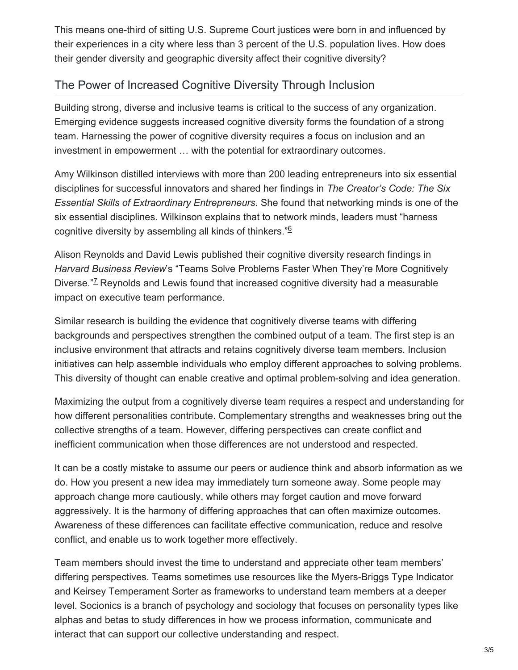This means one-third of sitting U.S. Supreme Court justices were born in and influenced by their experiences in a city where less than 3 percent of the U.S. population lives. How does their gender diversity and geographic diversity affect their cognitive diversity?

# The Power of Increased Cognitive Diversity Through Inclusion

Building strong, diverse and inclusive teams is critical to the success of any organization. Emerging evidence suggests increased cognitive diversity forms the foundation of a strong team. Harnessing the power of cognitive diversity requires a focus on inclusion and an investment in empowerment … with the potential for extraordinary outcomes.

Amy Wilkinson distilled interviews with more than 200 leading entrepreneurs into six essential disciplines for successful innovators and shared her findings in *The Creator's Code: The Six Essential Skills of Extraordinary Entrepreneurs*. She found that networking minds is one of the six essential disciplines. Wilkinson explains that to network minds, leaders must "harness cognitive diversity by assembling all kinds of thinkers." [6](https://theactuarymagazine.org/diversity-on-a-deeper-level/#en-4785-6)

Alison Reynolds and David Lewis published their cognitive diversity research findings in *Harvard Business Review*'s "Teams Solve Problems Faster When They're More Cognitively Diverse."<sup>[7](https://theactuarymagazine.org/diversity-on-a-deeper-level/#en-4785-7)</sup> Reynolds and Lewis found that increased cognitive diversity had a measurable impact on executive team performance.

Similar research is building the evidence that cognitively diverse teams with differing backgrounds and perspectives strengthen the combined output of a team. The first step is an inclusive environment that attracts and retains cognitively diverse team members. Inclusion initiatives can help assemble individuals who employ different approaches to solving problems. This diversity of thought can enable creative and optimal problem-solving and idea generation.

Maximizing the output from a cognitively diverse team requires a respect and understanding for how different personalities contribute. Complementary strengths and weaknesses bring out the collective strengths of a team. However, differing perspectives can create conflict and inefficient communication when those differences are not understood and respected.

It can be a costly mistake to assume our peers or audience think and absorb information as we do. How you present a new idea may immediately turn someone away. Some people may approach change more cautiously, while others may forget caution and move forward aggressively. It is the harmony of differing approaches that can often maximize outcomes. Awareness of these differences can facilitate effective communication, reduce and resolve conflict, and enable us to work together more effectively.

Team members should invest the time to understand and appreciate other team members' differing perspectives. Teams sometimes use resources like the Myers-Briggs Type Indicator and Keirsey Temperament Sorter as frameworks to understand team members at a deeper level. Socionics is a branch of psychology and sociology that focuses on personality types like alphas and betas to study differences in how we process information, communicate and interact that can support our collective understanding and respect.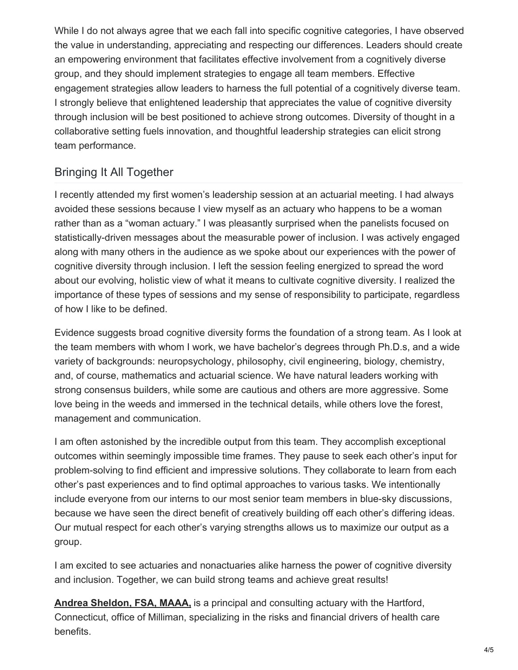While I do not always agree that we each fall into specific cognitive categories, I have observed the value in understanding, appreciating and respecting our differences. Leaders should create an empowering environment that facilitates effective involvement from a cognitively diverse group, and they should implement strategies to engage all team members. Effective engagement strategies allow leaders to harness the full potential of a cognitively diverse team. I strongly believe that enlightened leadership that appreciates the value of cognitive diversity through inclusion will be best positioned to achieve strong outcomes. Diversity of thought in a collaborative setting fuels innovation, and thoughtful leadership strategies can elicit strong team performance.

# Bringing It All Together

I recently attended my first women's leadership session at an actuarial meeting. I had always avoided these sessions because I view myself as an actuary who happens to be a woman rather than as a "woman actuary." I was pleasantly surprised when the panelists focused on statistically-driven messages about the measurable power of inclusion. I was actively engaged along with many others in the audience as we spoke about our experiences with the power of cognitive diversity through inclusion. I left the session feeling energized to spread the word about our evolving, holistic view of what it means to cultivate cognitive diversity. I realized the importance of these types of sessions and my sense of responsibility to participate, regardless of how I like to be defined.

Evidence suggests broad cognitive diversity forms the foundation of a strong team. As I look at the team members with whom I work, we have bachelor's degrees through Ph.D.s, and a wide variety of backgrounds: neuropsychology, philosophy, civil engineering, biology, chemistry, and, of course, mathematics and actuarial science. We have natural leaders working with strong consensus builders, while some are cautious and others are more aggressive. Some love being in the weeds and immersed in the technical details, while others love the forest, management and communication.

I am often astonished by the incredible output from this team. They accomplish exceptional outcomes within seemingly impossible time frames. They pause to seek each other's input for problem-solving to find efficient and impressive solutions. They collaborate to learn from each other's past experiences and to find optimal approaches to various tasks. We intentionally include everyone from our interns to our most senior team members in blue-sky discussions, because we have seen the direct benefit of creatively building off each other's differing ideas. Our mutual respect for each other's varying strengths allows us to maximize our output as a group.

I am excited to see actuaries and nonactuaries alike harness the power of cognitive diversity and inclusion. Together, we can build strong teams and achieve great results!

**Andrea [Sheldon,](mailto:andrea.sheldon@milliman.com) FSA, MAAA,** is a principal and consulting actuary with the Hartford, Connecticut, office of Milliman, specializing in the risks and financial drivers of health care benefits.